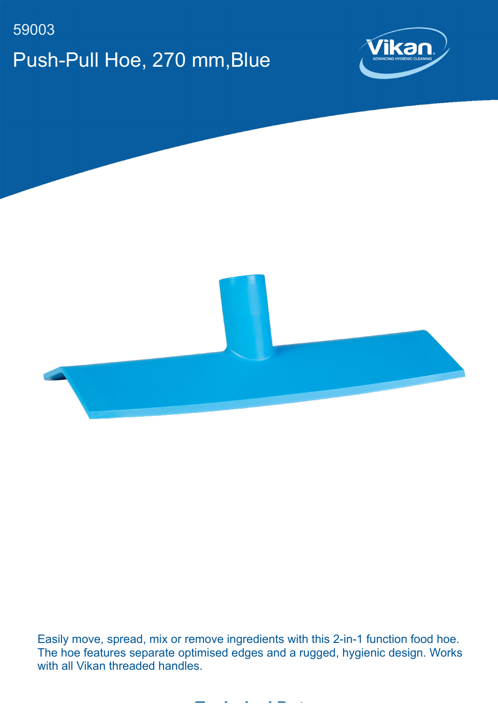## 59003 Push-Pull Hoe, 270 mm,Blue





Easily move, spread, mix or remove ingredients with this 2-in-1 function food hoe. The hoe features separate optimised edges and a rugged, hygienic design. Works with all Vikan threaded handles.

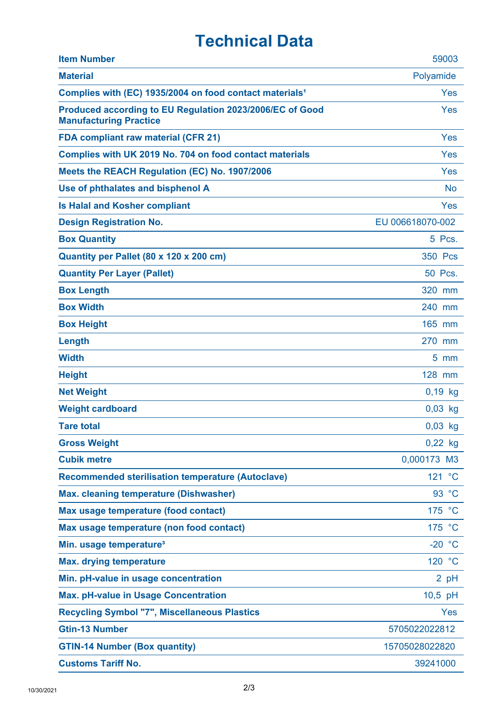## **Technical Data**

| <b>Item Number</b>                                                                        | 59003            |
|-------------------------------------------------------------------------------------------|------------------|
| <b>Material</b>                                                                           | Polyamide        |
| Complies with (EC) 1935/2004 on food contact materials <sup>1</sup>                       | Yes              |
| Produced according to EU Regulation 2023/2006/EC of Good<br><b>Manufacturing Practice</b> | Yes              |
| <b>FDA compliant raw material (CFR 21)</b>                                                | Yes              |
| Complies with UK 2019 No. 704 on food contact materials                                   | Yes              |
| Meets the REACH Regulation (EC) No. 1907/2006                                             | Yes              |
| Use of phthalates and bisphenol A                                                         | <b>No</b>        |
| <b>Is Halal and Kosher compliant</b>                                                      | Yes              |
| <b>Design Registration No.</b>                                                            | EU 006618070-002 |
| <b>Box Quantity</b>                                                                       | 5 Pcs.           |
| Quantity per Pallet (80 x 120 x 200 cm)                                                   | 350 Pcs          |
| <b>Quantity Per Layer (Pallet)</b>                                                        | 50 Pcs.          |
| <b>Box Length</b>                                                                         | 320 mm           |
| <b>Box Width</b>                                                                          | 240 mm           |
| <b>Box Height</b>                                                                         | 165 mm           |
| Length                                                                                    | 270 mm           |
| <b>Width</b>                                                                              | $5 \text{ mm}$   |
| <b>Height</b>                                                                             | 128 mm           |
| <b>Net Weight</b>                                                                         | $0,19$ kg        |
| <b>Weight cardboard</b>                                                                   | $0,03$ kg        |
| <b>Tare total</b>                                                                         | $0,03$ kg        |
| <b>Gross Weight</b>                                                                       | $0,22$ kg        |
| <b>Cubik metre</b>                                                                        | 0,000173 M3      |
| <b>Recommended sterilisation temperature (Autoclave)</b>                                  | 121 °C           |
| <b>Max. cleaning temperature (Dishwasher)</b>                                             | 93 °C            |
| Max usage temperature (food contact)                                                      | 175 °C           |
| Max usage temperature (non food contact)                                                  | 175 °C           |
| Min. usage temperature <sup>3</sup>                                                       | $-20 °C$         |
| <b>Max. drying temperature</b>                                                            | 120 °C           |
| Min. pH-value in usage concentration                                                      | 2 pH             |
| <b>Max. pH-value in Usage Concentration</b>                                               | 10,5 pH          |
| <b>Recycling Symbol "7", Miscellaneous Plastics</b>                                       | Yes              |
| <b>Gtin-13 Number</b>                                                                     | 5705022022812    |
| <b>GTIN-14 Number (Box quantity)</b>                                                      | 15705028022820   |
| <b>Customs Tariff No.</b>                                                                 | 39241000         |